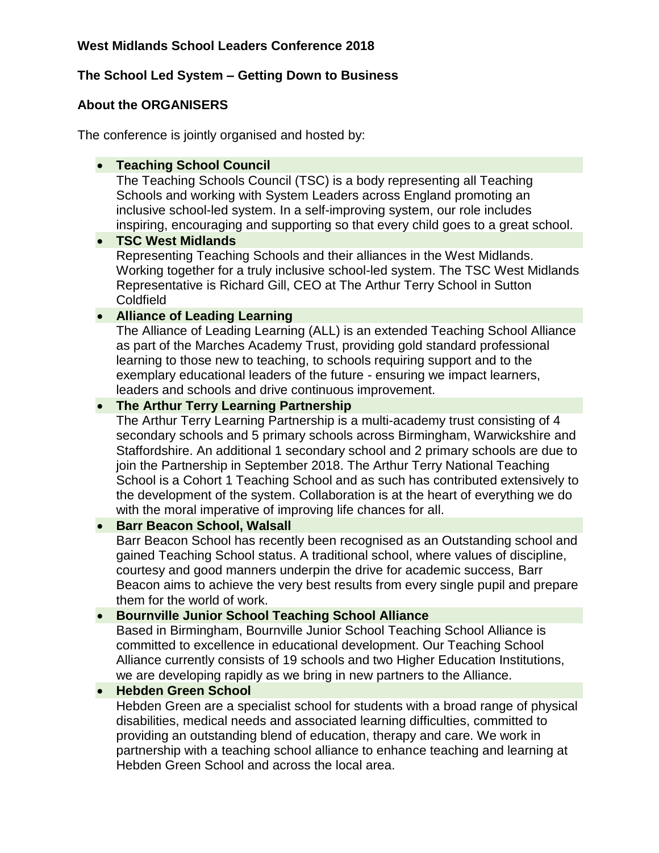# **The School Led System – Getting Down to Business**

# **About the ORGANISERS**

The conference is jointly organised and hosted by:

## **Teaching School Council**

The Teaching Schools Council (TSC) is a body representing all Teaching Schools and working with System Leaders across England promoting an inclusive school-led system. In a self-improving system, our role includes inspiring, encouraging and supporting so that every child goes to a great school.

## **TSC West Midlands**

Representing Teaching Schools and their alliances in the West Midlands. Working together for a truly inclusive school-led system. The TSC West Midlands Representative is Richard Gill, CEO at The Arthur Terry School in Sutton Coldfield

# **Alliance of Leading Learning**

The Alliance of Leading Learning (ALL) is an extended Teaching School Alliance as part of the Marches Academy Trust, providing gold standard professional learning to those new to teaching, to schools requiring support and to the exemplary educational leaders of the future - ensuring we impact learners, leaders and schools and drive continuous improvement.

# **The Arthur Terry Learning Partnership**

The Arthur Terry Learning Partnership is a multi-academy trust consisting of 4 secondary schools and 5 primary schools across Birmingham, Warwickshire and Staffordshire. An additional 1 secondary school and 2 primary schools are due to join the Partnership in September 2018. The Arthur Terry National Teaching School is a Cohort 1 Teaching School and as such has contributed extensively to the development of the system. Collaboration is at the heart of everything we do with the moral imperative of improving life chances for all.

## **• Barr Beacon School, Walsall**

Barr Beacon School has recently been recognised as an Outstanding school and gained Teaching School status. A traditional school, where values of discipline, courtesy and good manners underpin the drive for academic success, Barr Beacon aims to achieve the very best results from every single pupil and prepare them for the world of work.

## **• Bournville Junior School Teaching School Alliance**

Based in Birmingham, Bournville Junior School Teaching School Alliance is committed to excellence in educational development. Our Teaching School Alliance currently consists of 19 schools and two Higher Education Institutions, we are developing rapidly as we bring in new partners to the Alliance.

## **Hebden Green School**

Hebden Green are a specialist school for students with a broad range of physical disabilities, medical needs and associated learning difficulties, committed to providing an outstanding blend of education, therapy and care. We work in partnership with a teaching school alliance to enhance teaching and learning at Hebden Green School and across the local area.